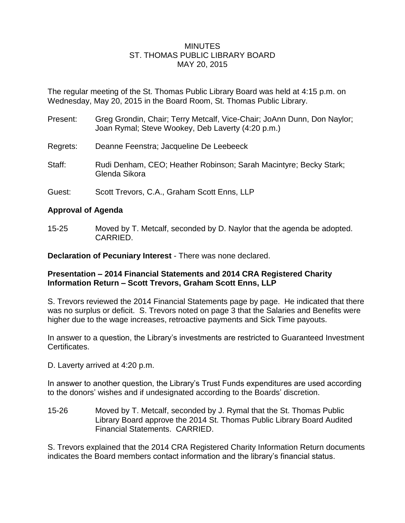## **MINUTES** ST. THOMAS PUBLIC LIBRARY BOARD MAY 20, 2015

The regular meeting of the St. Thomas Public Library Board was held at 4:15 p.m. on Wednesday, May 20, 2015 in the Board Room, St. Thomas Public Library.

- Present: Greg Grondin, Chair; Terry Metcalf, Vice-Chair; JoAnn Dunn, Don Naylor; Joan Rymal; Steve Wookey, Deb Laverty (4:20 p.m.)
- Regrets: Deanne Feenstra; Jacqueline De Leebeeck
- Staff: Rudi Denham, CEO; Heather Robinson; Sarah Macintyre; Becky Stark; Glenda Sikora
- Guest: Scott Trevors, C.A., Graham Scott Enns, LLP

# **Approval of Agenda**

15-25 Moved by T. Metcalf, seconded by D. Naylor that the agenda be adopted. CARRIED.

**Declaration of Pecuniary Interest** - There was none declared.

## **Presentation – 2014 Financial Statements and 2014 CRA Registered Charity Information Return – Scott Trevors, Graham Scott Enns, LLP**

S. Trevors reviewed the 2014 Financial Statements page by page. He indicated that there was no surplus or deficit. S. Trevors noted on page 3 that the Salaries and Benefits were higher due to the wage increases, retroactive payments and Sick Time payouts.

In answer to a question, the Library's investments are restricted to Guaranteed Investment Certificates.

D. Laverty arrived at 4:20 p.m.

In answer to another question, the Library's Trust Funds expenditures are used according to the donors' wishes and if undesignated according to the Boards' discretion.

15-26 Moved by T. Metcalf, seconded by J. Rymal that the St. Thomas Public Library Board approve the 2014 St. Thomas Public Library Board Audited Financial Statements. CARRIED.

S. Trevors explained that the 2014 CRA Registered Charity Information Return documents indicates the Board members contact information and the library's financial status.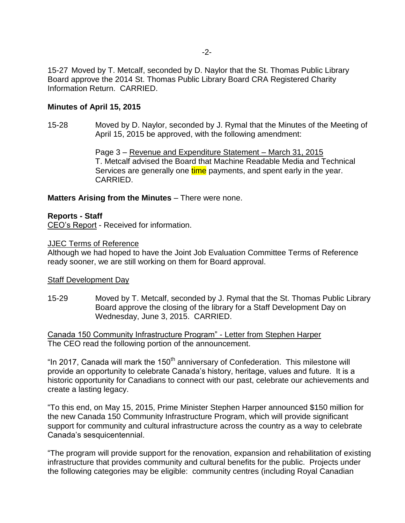-2-

15-27 Moved by T. Metcalf, seconded by D. Naylor that the St. Thomas Public Library Board approve the 2014 St. Thomas Public Library Board CRA Registered Charity Information Return. CARRIED.

## **Minutes of April 15, 2015**

15-28 Moved by D. Naylor, seconded by J. Rymal that the Minutes of the Meeting of April 15, 2015 be approved, with the following amendment:

> Page 3 – Revenue and Expenditure Statement – March 31, 2015 T. Metcalf advised the Board that Machine Readable Media and Technical Services are generally one time payments, and spent early in the year. CARRIED.

## **Matters Arising from the Minutes** – There were none.

## **Reports - Staff**

CEO's Report - Received for information.

## JJEC Terms of Reference

Although we had hoped to have the Joint Job Evaluation Committee Terms of Reference ready sooner, we are still working on them for Board approval.

#### Staff Development Day

15-29 Moved by T. Metcalf, seconded by J. Rymal that the St. Thomas Public Library Board approve the closing of the library for a Staff Development Day on Wednesday, June 3, 2015. CARRIED.

Canada 150 Community Infrastructure Program" - Letter from Stephen Harper The CEO read the following portion of the announcement.

"In 2017, Canada will mark the 150<sup>th</sup> anniversary of Confederation. This milestone will provide an opportunity to celebrate Canada's history, heritage, values and future. It is a historic opportunity for Canadians to connect with our past, celebrate our achievements and create a lasting legacy.

"To this end, on May 15, 2015, Prime Minister Stephen Harper announced \$150 million for the new Canada 150 Community Infrastructure Program, which will provide significant support for community and cultural infrastructure across the country as a way to celebrate Canada's sesquicentennial.

"The program will provide support for the renovation, expansion and rehabilitation of existing infrastructure that provides community and cultural benefits for the public. Projects under the following categories may be eligible: community centres (including Royal Canadian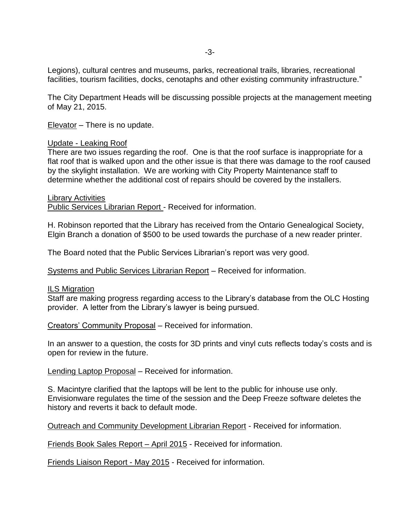Legions), cultural centres and museums, parks, recreational trails, libraries, recreational facilities, tourism facilities, docks, cenotaphs and other existing community infrastructure."

The City Department Heads will be discussing possible projects at the management meeting of May 21, 2015.

Elevator - There is no update.

#### Update - Leaking Roof

There are two issues regarding the roof. One is that the roof surface is inappropriate for a flat roof that is walked upon and the other issue is that there was damage to the roof caused by the skylight installation. We are working with City Property Maintenance staff to determine whether the additional cost of repairs should be covered by the installers.

Library Activities Public Services Librarian Report - Received for information.

H. Robinson reported that the Library has received from the Ontario Genealogical Society, Elgin Branch a donation of \$500 to be used towards the purchase of a new reader printer.

The Board noted that the Public Services Librarian's report was very good.

Systems and Public Services Librarian Report – Received for information.

#### ILS Migration

Staff are making progress regarding access to the Library's database from the OLC Hosting provider. A letter from the Library's lawyer is being pursued.

Creators' Community Proposal – Received for information.

In an answer to a question, the costs for 3D prints and vinyl cuts reflects today's costs and is open for review in the future.

Lending Laptop Proposal – Received for information.

S. Macintyre clarified that the laptops will be lent to the public for inhouse use only. Envisionware regulates the time of the session and the Deep Freeze software deletes the history and reverts it back to default mode.

Outreach and Community Development Librarian Report - Received for information.

Friends Book Sales Report – April 2015 - Received for information.

Friends Liaison Report - May 2015 - Received for information.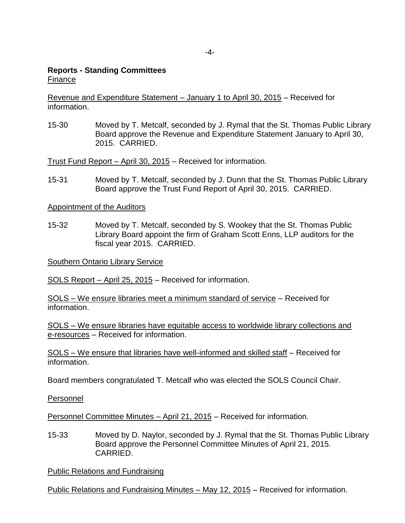## **Reports - Standing Committees** Finance

Revenue and Expenditure Statement – January 1 to April 30, 2015 – Received for information.

15-30 Moved by T. Metcalf, seconded by J. Rymal that the St. Thomas Public Library Board approve the Revenue and Expenditure Statement January to April 30, 2015. CARRIED.

Trust Fund Report – April 30, 2015 – Received for information.

15-31 Moved by T. Metcalf, seconded by J. Dunn that the St. Thomas Public Library Board approve the Trust Fund Report of April 30, 2015. CARRIED.

Appointment of the Auditors

15-32 Moved by T. Metcalf, seconded by S. Wookey that the St. Thomas Public Library Board appoint the firm of Graham Scott Enns, LLP auditors for the fiscal year 2015. CARRIED.

Southern Ontario Library Service

SOLS Report – April 25, 2015 – Received for information.

SOLS – We ensure libraries meet a minimum standard of service – Received for information.

SOLS – We ensure libraries have equitable access to worldwide library collections and e-resources – Received for information.

SOLS – We ensure that libraries have well-informed and skilled staff – Received for information.

Board members congratulated T. Metcalf who was elected the SOLS Council Chair.

Personnel

Personnel Committee Minutes – April 21, 2015 – Received for information.

15-33 Moved by D. Naylor, seconded by J. Rymal that the St. Thomas Public Library Board approve the Personnel Committee Minutes of April 21, 2015. CARRIED.

Public Relations and Fundraising

Public Relations and Fundraising Minutes – May 12, 2015 – Received for information.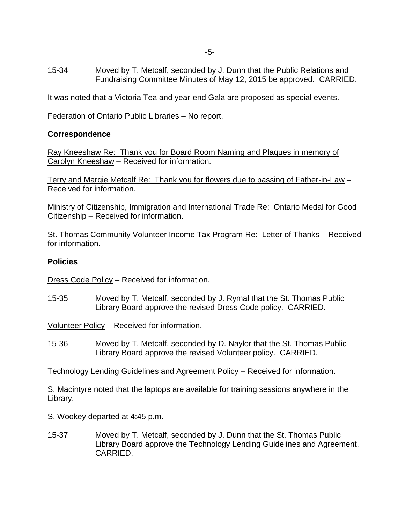15-34 Moved by T. Metcalf, seconded by J. Dunn that the Public Relations and Fundraising Committee Minutes of May 12, 2015 be approved. CARRIED.

It was noted that a Victoria Tea and year-end Gala are proposed as special events.

Federation of Ontario Public Libraries – No report.

## **Correspondence**

Ray Kneeshaw Re: Thank you for Board Room Naming and Plaques in memory of Carolyn Kneeshaw – Received for information.

Terry and Margie Metcalf Re: Thank you for flowers due to passing of Father-in-Law – Received for information.

Ministry of Citizenship, Immigration and International Trade Re: Ontario Medal for Good Citizenship – Received for information.

St. Thomas Community Volunteer Income Tax Program Re: Letter of Thanks – Received for information.

## **Policies**

Dress Code Policy – Received for information.

15-35 Moved by T. Metcalf, seconded by J. Rymal that the St. Thomas Public Library Board approve the revised Dress Code policy. CARRIED.

Volunteer Policy – Received for information.

15-36 Moved by T. Metcalf, seconded by D. Naylor that the St. Thomas Public Library Board approve the revised Volunteer policy. CARRIED.

Technology Lending Guidelines and Agreement Policy – Received for information.

S. Macintyre noted that the laptops are available for training sessions anywhere in the Library.

- S. Wookey departed at 4:45 p.m.
- 15-37 Moved by T. Metcalf, seconded by J. Dunn that the St. Thomas Public Library Board approve the Technology Lending Guidelines and Agreement. CARRIED.